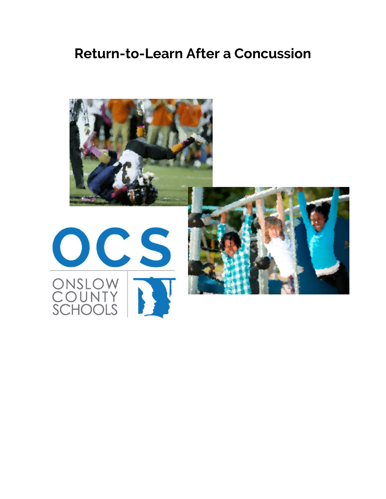### **Return-to-Learn After a Concussion**

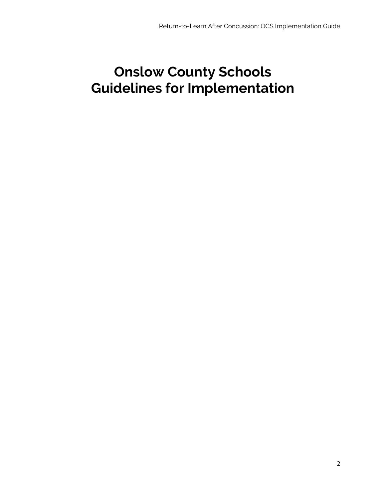## **Onslow County Schools Guidelines for Implementation**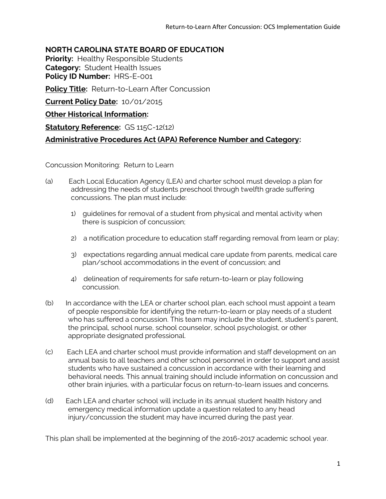**NORTH CAROLINA STATE BOARD OF EDUCATION Priority:** Healthy Responsible Students **Category:** Student Health Issues **Policy ID Number:** HRS-E-001

**Policy Title: Return-to-Learn After Concussion** 

**Current Policy Date:** 10/01/2015

**Other Historical Information:**

**Statutory Reference:** GS 115C-12(12)

**Administrative Procedures Act (APA) Reference Number and Category:**

Concussion Monitoring: Return to Learn

- (a) Each Local Education Agency (LEA) and charter school must develop a plan for addressing the needs of students preschool through twelfth grade suffering concussions. The plan must include:
	- 1) guidelines for removal of a student from physical and mental activity when there is suspicion of concussion;
	- 2) a notification procedure to education staff regarding removal from learn or play;
	- 3) expectations regarding annual medical care update from parents, medical care plan/school accommodations in the event of concussion; and
	- 4) delineation of requirements for safe return-to-learn or play following concussion.
- (b) In accordance with the LEA or charter school plan, each school must appoint a team of people responsible for identifying the return-to-learn or play needs of a student who has suffered a concussion. This team may include the student, student's parent, the principal, school nurse, school counselor, school psychologist, or other appropriate designated professional.
- (c) Each LEA and charter school must provide information and staff development on an annual basis to all teachers and other school personnel in order to support and assist students who have sustained a concussion in accordance with their learning and behavioral needs. This annual training should include information on concussion and other brain injuries, with a particular focus on return-to-learn issues and concerns.
- (d) Each LEA and charter school will include in its annual student health history and emergency medical information update a question related to any head injury/concussion the student may have incurred during the past year.

This plan shall be implemented at the beginning of the 2016-2017 academic school year.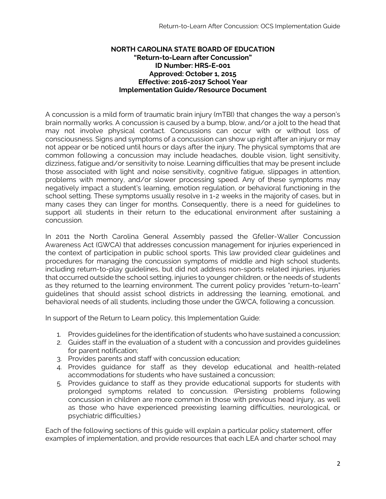### **NORTH CAROLINA STATE BOARD OF EDUCATION "Return-to-Learn after Concussion" ID Number: HRS-E-001 Approved: October 1, 2015 Effective: 2016-2017 School Year Implementation Guide/Resource Document**

A concussion is a mild form of traumatic brain injury (mTBI) that changes the way a person's brain normally works. A concussion is caused by a bump, blow, and/or a jolt to the head that may not involve physical contact. Concussions can occur with or without loss of consciousness. Signs and symptoms of a concussion can show up right after an injury or may not appear or be noticed until hours or days after the injury. The physical symptoms that are common following a concussion may include headaches, double vision, light sensitivity, dizziness, fatigue and/or sensitivity to noise. Learning difficulties that may be present include those associated with light and noise sensitivity, cognitive fatigue, slippages in attention, problems with memory, and/or slower processing speed. Any of these symptoms may negatively impact a student's learning, emotion regulation, or behavioral functioning in the school setting. These symptoms usually resolve in 1-2 weeks in the majority of cases, but in many cases they can linger for months. Consequently, there is a need for guidelines to support all students in their return to the educational environment after sustaining a concussion.

In 2011 the North Carolina General Assembly passed the Gfeller-Waller Concussion Awareness Act (GWCA) that addresses concussion management for injuries experienced in the context of participation in public school sports. This law provided clear guidelines and procedures for managing the concussion symptoms of middle and high school students, including return-to-play guidelines, but did not address non-sports related injuries, injuries that occurred outside the school setting, injuries to younger children, or the needs of students as they returned to the learning environment. The current policy provides "return-to-learn" guidelines that should assist school districts in addressing the learning, emotional, and behavioral needs of all students, including those under the GWCA, following a concussion.

In support of the Return to Learn policy, this Implementation Guide:

- 1. Provides guidelines for the identification of students who have sustained a concussion;
- 2. Guides staff in the evaluation of a student with a concussion and provides guidelines for parent notification;
- 3. Provides parents and staff with concussion education;
- 4. Provides guidance for staff as they develop educational and health-related accommodations for students who have sustained a concussion;
- 5. Provides guidance to staff as they provide educational supports for students with prolonged symptoms related to concussion. (Persisting problems following concussion in children are more common in those with previous head injury, as well as those who have experienced preexisting learning difficulties, neurological, or psychiatric difficulties.)

Each of the following sections of this guide will explain a particular policy statement, offer examples of implementation, and provide resources that each LEA and charter school may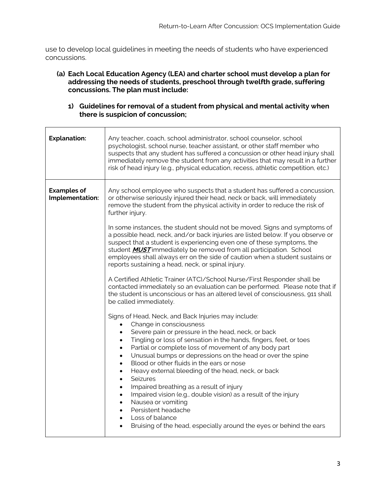use to develop local guidelines in meeting the needs of students who have experienced concussions.

### **(a) Each Local Education Agency (LEA) and charter school must develop a plan for addressing the needs of students, preschool through twelfth grade, suffering concussions. The plan must include:**

### **1) Guidelines for removal of a student from physical and mental activity when there is suspicion of concussion;**

| <b>Explanation:</b>                   | Any teacher, coach, school administrator, school counselor, school<br>psychologist, school nurse, teacher assistant, or other staff member who<br>suspects that any student has suffered a concussion or other head injury shall<br>immediately remove the student from any activities that may result in a further<br>risk of head injury (e.g., physical education, recess, athletic competition, etc.)                                                                                                                                                                                                                                                                                                                                                                                                                                                                                                                                                                                                                                                                                                                                                                                                                                                                                                                                                                                                                                                                                                                                                                                                                                                                                                                                                                                                                                                                                       |
|---------------------------------------|-------------------------------------------------------------------------------------------------------------------------------------------------------------------------------------------------------------------------------------------------------------------------------------------------------------------------------------------------------------------------------------------------------------------------------------------------------------------------------------------------------------------------------------------------------------------------------------------------------------------------------------------------------------------------------------------------------------------------------------------------------------------------------------------------------------------------------------------------------------------------------------------------------------------------------------------------------------------------------------------------------------------------------------------------------------------------------------------------------------------------------------------------------------------------------------------------------------------------------------------------------------------------------------------------------------------------------------------------------------------------------------------------------------------------------------------------------------------------------------------------------------------------------------------------------------------------------------------------------------------------------------------------------------------------------------------------------------------------------------------------------------------------------------------------------------------------------------------------------------------------------------------------|
| <b>Examples of</b><br>Implementation: | Any school employee who suspects that a student has suffered a concussion,<br>or otherwise seriously injured their head, neck or back, will immediately<br>remove the student from the physical activity in order to reduce the risk of<br>further injury.<br>In some instances, the student should not be moved. Signs and symptoms of<br>a possible head, neck, and/or back injuries are listed below. If you observe or<br>suspect that a student is experiencing even one of these symptoms, the<br>student <b>MUST</b> immediately be removed from all participation. School<br>employees shall always err on the side of caution when a student sustains or<br>reports sustaining a head, neck, or spinal injury.<br>A Certified Athletic Trainer (ATC)/School Nurse/First Responder shall be<br>contacted immediately so an evaluation can be performed. Please note that if<br>the student is unconscious or has an altered level of consciousness, 911 shall<br>be called immediately.<br>Signs of Head, Neck, and Back Injuries may include:<br>Change in consciousness<br>$\bullet$<br>Severe pain or pressure in the head, neck, or back<br>$\bullet$<br>Tingling or loss of sensation in the hands, fingers, feet, or toes<br>$\bullet$<br>Partial or complete loss of movement of any body part<br>$\bullet$<br>Unusual bumps or depressions on the head or over the spine<br>$\bullet$<br>Blood or other fluids in the ears or nose<br>$\bullet$<br>Heavy external bleeding of the head, neck, or back<br>$\bullet$<br>Seizures<br>$\bullet$<br>Impaired breathing as a result of injury<br>$\bullet$<br>Impaired vision (e.g., double vision) as a result of the injury<br>$\bullet$<br>Nausea or vomiting<br>$\bullet$<br>Persistent headache<br>$\bullet$<br>Loss of balance<br>$\bullet$<br>Bruising of the head, especially around the eyes or behind the ears<br>$\bullet$ |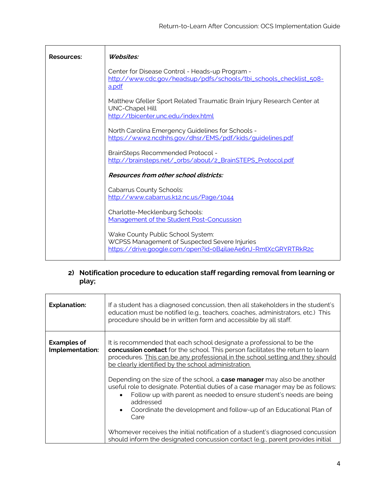| <b>Resources:</b> | Websites:                                                                                                                                           |
|-------------------|-----------------------------------------------------------------------------------------------------------------------------------------------------|
|                   | Center for Disease Control - Heads-up Program -<br>http://www.cdc.gov/headsup/pdfs/schools/tbi_schools_checklist_508-<br>a.pdf                      |
|                   | Matthew Gfeller Sport Related Traumatic Brain Injury Research Center at<br><b>UNC-Chapel Hill</b><br>http://tbicenter.unc.edu/index.html            |
|                   | North Carolina Emergency Guidelines for Schools -<br>https://www2.ncdhhs.gov/dhsr/EMS/pdf/kids/quidelines.pdf                                       |
|                   | BrainSteps Recommended Protocol -<br>http://brainsteps.net/_orbs/about/2_BrainSTEPS_Protocol.pdf                                                    |
|                   | Resources from other school districts:                                                                                                              |
|                   | Cabarrus County Schools:<br>http://www.cabarrus.k12.nc.us/Page/1044                                                                                 |
|                   | Charlotte-Mecklenburg Schools:<br>Management of the Student Post-Concussion                                                                         |
|                   | Wake County Public School System:<br>WCPSS Management of Suspected Severe Injuries<br>https://drive.google.com/open?id=0B4ilaeAe6nJ-RmtXcGRYRTRkR2c |

### **2) Notification procedure to education staff regarding removal from learning or play;**

| <b>Explanation:</b>                   | If a student has a diagnosed concussion, then all stakeholders in the student's<br>education must be notified (e.g., teachers, coaches, administrators, etc.) This<br>procedure should be in written form and accessible by all staff.                                                                                              |
|---------------------------------------|-------------------------------------------------------------------------------------------------------------------------------------------------------------------------------------------------------------------------------------------------------------------------------------------------------------------------------------|
| <b>Examples of</b><br>Implementation: | It is recommended that each school designate a professional to be the<br>concussion contact for the school. This person facilitates the return to learn<br>procedures. This can be any professional in the school setting and they should<br>be clearly identified by the school administration.                                    |
|                                       | Depending on the size of the school, a <b>case manager</b> may also be another<br>useful role to designate. Potential duties of a case manager may be as follows:<br>Follow up with parent as needed to ensure student's needs are being<br>addressed<br>Coordinate the development and follow-up of an Educational Plan of<br>Care |
|                                       | Whomever receives the initial notification of a student's diagnosed concussion<br>should inform the designated concussion contact (e.g., parent provides initial                                                                                                                                                                    |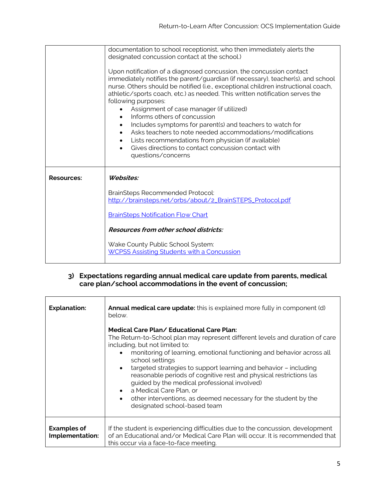|                   | documentation to school receptionist, who then immediately alerts the<br>designated concussion contact at the school.)                                                                                                                                                                                                                                                                                                                                                                                                                                                                                                                                                                                    |
|-------------------|-----------------------------------------------------------------------------------------------------------------------------------------------------------------------------------------------------------------------------------------------------------------------------------------------------------------------------------------------------------------------------------------------------------------------------------------------------------------------------------------------------------------------------------------------------------------------------------------------------------------------------------------------------------------------------------------------------------|
|                   | Upon notification of a diagnosed concussion, the concussion contact<br>immediately notifies the parent/guardian (if necessary), teacher(s), and school<br>nurse. Others should be notified (i.e., exceptional children instructional coach,<br>athletic/sports coach, etc.) as needed. This written notification serves the<br>following purposes:<br>Assignment of case manager (if utilized)<br>Informs others of concussion<br>Includes symptoms for parent(s) and teachers to watch for<br>$\bullet$<br>Asks teachers to note needed accommodations/modifications<br>Lists recommendations from physician (if available)<br>Gives directions to contact concussion contact with<br>questions/concerns |
| <b>Resources:</b> | Websites:                                                                                                                                                                                                                                                                                                                                                                                                                                                                                                                                                                                                                                                                                                 |
|                   | BrainSteps Recommended Protocol:<br>http://brainsteps.net/orbs/about/2_BrainSTEPS_Protocol.pdf                                                                                                                                                                                                                                                                                                                                                                                                                                                                                                                                                                                                            |
|                   | <b>BrainSteps Notification Flow Chart</b>                                                                                                                                                                                                                                                                                                                                                                                                                                                                                                                                                                                                                                                                 |
|                   | Resources from other school districts:                                                                                                                                                                                                                                                                                                                                                                                                                                                                                                                                                                                                                                                                    |
|                   | Wake County Public School System:<br><b>WCPSS Assisting Students with a Concussion</b>                                                                                                                                                                                                                                                                                                                                                                                                                                                                                                                                                                                                                    |

### **3) Expectations regarding annual medical care update from parents, medical care plan/school accommodations in the event of concussion;**

Ē

| <b>Explanation:</b>                   | Annual medical care update: this is explained more fully in component (d)<br>below.                                                                                                                                                                                                                                                                                                                                                                                                                                                                                                                           |
|---------------------------------------|---------------------------------------------------------------------------------------------------------------------------------------------------------------------------------------------------------------------------------------------------------------------------------------------------------------------------------------------------------------------------------------------------------------------------------------------------------------------------------------------------------------------------------------------------------------------------------------------------------------|
|                                       | Medical Care Plan/Educational Care Plan:<br>The Return-to-School plan may represent different levels and duration of care<br>including, but not limited to:<br>monitoring of learning, emotional functioning and behavior across all<br>$\bullet$<br>school settings<br>targeted strategies to support learning and behavior - including<br>$\bullet$<br>reasonable periods of cognitive rest and physical restrictions (as<br>guided by the medical professional involved)<br>• a Medical Care Plan, or<br>• other interventions, as deemed necessary for the student by the<br>designated school-based team |
| <b>Examples of</b><br>Implementation: | If the student is experiencing difficulties due to the concussion, development<br>of an Educational and/or Medical Care Plan will occur. It is recommended that<br>this occur via a face-to-face meeting.                                                                                                                                                                                                                                                                                                                                                                                                     |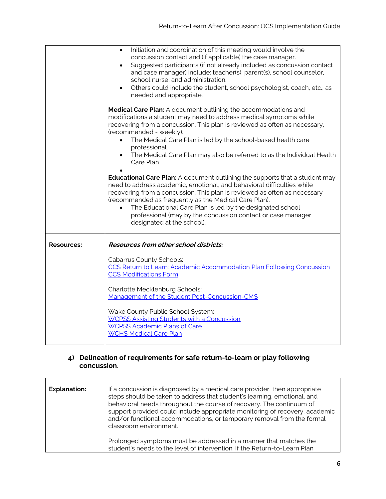|                   | Initiation and coordination of this meeting would involve the<br>$\bullet$<br>concussion contact and (if applicable) the case manager.<br>Suggested participants (if not already included as concussion contact<br>and case manager) include: teacher(s), parent(s), school counselor,<br>school nurse, and administration.<br>Others could include the student, school psychologist, coach, etc., as<br>$\bullet$<br>needed and appropriate.                |
|-------------------|--------------------------------------------------------------------------------------------------------------------------------------------------------------------------------------------------------------------------------------------------------------------------------------------------------------------------------------------------------------------------------------------------------------------------------------------------------------|
|                   | <b>Medical Care Plan:</b> A document outlining the accommodations and<br>modifications a student may need to address medical symptoms while<br>recovering from a concussion. This plan is reviewed as often as necessary,<br>(recommended - weekly).<br>The Medical Care Plan is led by the school-based health care<br>$\bullet$<br>professional.<br>The Medical Care Plan may also be referred to as the Individual Health<br>$\bullet$<br>Care Plan.      |
|                   | <b>Educational Care Plan:</b> A document outlining the supports that a student may<br>need to address academic, emotional, and behavioral difficulties while<br>recovering from a concussion. This plan is reviewed as often as necessary<br>(recommended as frequently as the Medical Care Plan).<br>The Educational Care Plan is led by the designated school<br>professional (may by the concussion contact or case manager<br>designated at the school). |
| <b>Resources:</b> | Resources from other school districts:<br>Cabarrus County Schools:<br>CCS Return to Learn: Academic Accommodation Plan Following Concussion<br><b>CCS Modifications Form</b><br>Charlotte Mecklenburg Schools:<br>Management of the Student Post-Concussion-CMS<br>Wake County Public School System:<br><b>WCPSS Assisting Students with a Concussion</b><br><b>WCPSS Academic Plans of Care</b><br><b>WCHS Medical Care Plan</b>                            |

### **4) Delineation of requirements for safe return-to-learn or play following concussion.**

| <b>Explanation:</b> | If a concussion is diagnosed by a medical care provider, then appropriate<br>steps should be taken to address that student's learning, emotional, and<br>behavioral needs throughout the course of recovery. The continuum of<br>support provided could include appropriate monitoring of recovery, academic<br>and/or functional accommodations, or temporary removal from the formal<br>classroom environment. |
|---------------------|------------------------------------------------------------------------------------------------------------------------------------------------------------------------------------------------------------------------------------------------------------------------------------------------------------------------------------------------------------------------------------------------------------------|
|                     | Prolonged symptoms must be addressed in a manner that matches the<br>student's needs to the level of intervention. If the Return-to-Learn Plan                                                                                                                                                                                                                                                                   |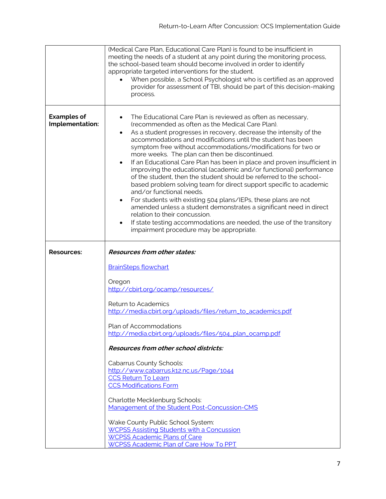|                                       | (Medical Care Plan, Educational Care Plan) is found to be insufficient in<br>meeting the needs of a student at any point during the monitoring process,<br>the school-based team should become involved in order to identify<br>appropriate targeted interventions for the student.<br>When possible, a School Psychologist who is certified as an approved<br>provider for assessment of TBI, should be part of this decision-making<br>process.                                                                                                                                                                                                                                                                                                                                                                                                                                                                                                                                                                         |
|---------------------------------------|---------------------------------------------------------------------------------------------------------------------------------------------------------------------------------------------------------------------------------------------------------------------------------------------------------------------------------------------------------------------------------------------------------------------------------------------------------------------------------------------------------------------------------------------------------------------------------------------------------------------------------------------------------------------------------------------------------------------------------------------------------------------------------------------------------------------------------------------------------------------------------------------------------------------------------------------------------------------------------------------------------------------------|
| <b>Examples of</b><br>Implementation: | The Educational Care Plan is reviewed as often as necessary,<br>(recommended as often as the Medical Care Plan).<br>As a student progresses in recovery, decrease the intensity of the<br>accommodations and modifications until the student has been<br>symptom free without accommodations/modifications for two or<br>more weeks. The plan can then be discontinued.<br>If an Educational Care Plan has been in place and proven insufficient in<br>$\bullet$<br>improving the educational (academic and/or functional) performance<br>of the student, then the student should be referred to the school-<br>based problem solving team for direct support specific to academic<br>and/or functional needs.<br>For students with existing 504 plans/IEPs, these plans are not<br>$\bullet$<br>amended unless a student demonstrates a significant need in direct<br>relation to their concussion.<br>If state testing accommodations are needed, the use of the transitory<br>impairment procedure may be appropriate. |
| <b>Resources:</b>                     | <b>Resources from other states:</b>                                                                                                                                                                                                                                                                                                                                                                                                                                                                                                                                                                                                                                                                                                                                                                                                                                                                                                                                                                                       |
|                                       | <b>BrainSteps flowchart</b><br>Oregon<br>http://cbirt.org/ocamp/resources/<br>Return to Academics<br>http://media.cbirt.org/uploads/files/return_to_academics.pdf<br>Plan of Accommodations<br>http://media.cbirt.org/uploads/files/504_plan_ocamp.pdf<br>Resources from other school districts:                                                                                                                                                                                                                                                                                                                                                                                                                                                                                                                                                                                                                                                                                                                          |
|                                       | Cabarrus County Schools:<br>http://www.cabarrus.k12.nc.us/Page/1044                                                                                                                                                                                                                                                                                                                                                                                                                                                                                                                                                                                                                                                                                                                                                                                                                                                                                                                                                       |
|                                       | CCS Return To Learn<br><b>CCS Modifications Form</b>                                                                                                                                                                                                                                                                                                                                                                                                                                                                                                                                                                                                                                                                                                                                                                                                                                                                                                                                                                      |
|                                       | Charlotte Mecklenburg Schools:<br>Management of the Student Post-Concussion-CMS                                                                                                                                                                                                                                                                                                                                                                                                                                                                                                                                                                                                                                                                                                                                                                                                                                                                                                                                           |
|                                       | Wake County Public School System:<br><b>WCPSS Assisting Students with a Concussion</b><br><b>WCPSS Academic Plans of Care</b><br><b>WCPSS Academic Plan of Care How To PPT</b>                                                                                                                                                                                                                                                                                                                                                                                                                                                                                                                                                                                                                                                                                                                                                                                                                                            |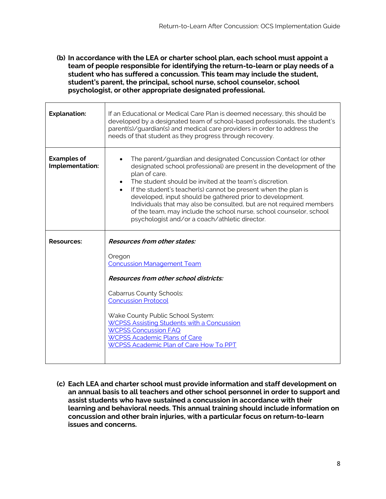**(b) In accordance with the LEA or charter school plan, each school must appoint a team of people responsible for identifying the return-to-learn or play needs of a student who has suffered a concussion. This team may include the student, student's parent, the principal, school nurse, school counselor, school psychologist, or other appropriate designated professional.**

| <b>Explanation:</b>                   | If an Educational or Medical Care Plan is deemed necessary, this should be<br>developed by a designated team of school-based professionals, the student's<br>parent(s)/guardian(s) and medical care providers in order to address the<br>needs of that student as they progress through recovery.                                                                                                                                                                                                                                                    |
|---------------------------------------|------------------------------------------------------------------------------------------------------------------------------------------------------------------------------------------------------------------------------------------------------------------------------------------------------------------------------------------------------------------------------------------------------------------------------------------------------------------------------------------------------------------------------------------------------|
| <b>Examples of</b><br>Implementation: | The parent/guardian and designated Concussion Contact (or other<br>designated school professional) are present in the development of the<br>plan of care.<br>The student should be invited at the team's discretion.<br>If the student's teacher(s) cannot be present when the plan is<br>developed, input should be gathered prior to development.<br>Individuals that may also be consulted, but are not required members<br>of the team, may include the school nurse, school counselor, school<br>psychologist and/or a coach/athletic director. |
|                                       |                                                                                                                                                                                                                                                                                                                                                                                                                                                                                                                                                      |
| <b>Resources:</b>                     | <b>Resources from other states:</b>                                                                                                                                                                                                                                                                                                                                                                                                                                                                                                                  |
|                                       | Oregon<br><b>Concussion Management Team</b>                                                                                                                                                                                                                                                                                                                                                                                                                                                                                                          |
|                                       | Resources from other school districts:                                                                                                                                                                                                                                                                                                                                                                                                                                                                                                               |
|                                       | Cabarrus County Schools:<br><b>Concussion Protocol</b>                                                                                                                                                                                                                                                                                                                                                                                                                                                                                               |

**(c) Each LEA and charter school must provide information and staff development on an annual basis to all teachers and other school personnel in order to support and assist students who have sustained a concussion in accordance with their learning and behavioral needs. This annual training should include information on concussion and other brain injuries, with a particular focus on return-to-learn issues and concerns.**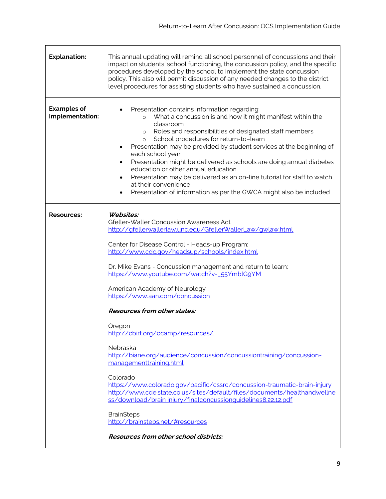| <b>Explanation:</b>                   | This annual updating will remind all school personnel of concussions and their<br>impact on students' school functioning, the concussion policy, and the specific<br>procedures developed by the school to implement the state concussion<br>policy. This also will permit discussion of any needed changes to the district<br>level procedures for assisting students who have sustained a concussion.                                                                                                                                                                                                                                                                                                                                                                                                                                                                                                                                                    |
|---------------------------------------|------------------------------------------------------------------------------------------------------------------------------------------------------------------------------------------------------------------------------------------------------------------------------------------------------------------------------------------------------------------------------------------------------------------------------------------------------------------------------------------------------------------------------------------------------------------------------------------------------------------------------------------------------------------------------------------------------------------------------------------------------------------------------------------------------------------------------------------------------------------------------------------------------------------------------------------------------------|
| <b>Examples of</b><br>Implementation: | Presentation contains information regarding:<br>What a concussion is and how it might manifest within the<br>$\circ$<br>classroom<br>Roles and responsibilities of designated staff members<br>$\circ$<br>School procedures for return-to-learn<br>$\circ$<br>Presentation may be provided by student services at the beginning of<br>each school year<br>Presentation might be delivered as schools are doing annual diabetes<br>$\bullet$<br>education or other annual education<br>Presentation may be delivered as an on-line tutorial for staff to watch<br>$\bullet$<br>at their convenience<br>Presentation of information as per the GWCA might also be included<br>$\bullet$                                                                                                                                                                                                                                                                      |
| <b>Resources:</b>                     | <b>Websites:</b><br>Gfeller-Waller Concussion Awareness Act<br>http://gfellerwallerlaw.unc.edu/GfellerWallerLaw/gwlaw.html<br>Center for Disease Control - Heads-up Program:<br>http://www.cdc.gov/headsup/schools/index.html<br>Dr. Mike Evans - Concussion management and return to learn:<br>https://www.youtube.com/watch?v=_55YmblGgYM<br>American Academy of Neurology<br>https://www.aan.com/concussion<br><b>Resources from other states:</b><br>Oregon<br>http://cbirt.org/ocamp/resources/<br>Nebraska<br>http://biane.org/audience/concussion/concussiontraining/concussion-<br>managementtraining.html<br>Colorado<br>https://www.colorado.gov/pacific/cssrc/concussion-traumatic-brain-injury<br>http://www.cde.state.co.us/sites/default/files/documents/healthandwellne<br>ss/download/brain injury/finalconcussionquidelines8.22.12.pdf<br><b>BrainSteps</b><br>http://brainsteps.net/#resources<br>Resources from other school districts: |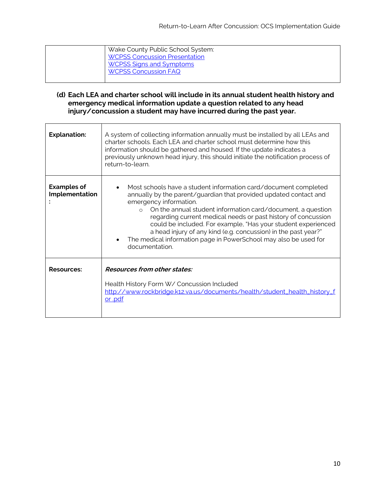| Wake County Public School System:    |
|--------------------------------------|
| <b>WCPSS Concussion Presentation</b> |
| WCPSS Signs and Symptoms             |
| <b>WCPSS Concussion FAQ</b>          |
|                                      |

**(d) Each LEA and charter school will include in its annual student health history and emergency medical information update a question related to any head injury/concussion a student may have incurred during the past year.**

| <b>Explanation:</b>                  | A system of collecting information annually must be installed by all LEAs and<br>charter schools. Each LEA and charter school must determine how this<br>information should be gathered and housed. If the update indicates a<br>previously unknown head injury, this should initiate the notification process of<br>return-to-learn.                                                                                                                                                                                              |
|--------------------------------------|------------------------------------------------------------------------------------------------------------------------------------------------------------------------------------------------------------------------------------------------------------------------------------------------------------------------------------------------------------------------------------------------------------------------------------------------------------------------------------------------------------------------------------|
| <b>Examples of</b><br>Implementation | Most schools have a student information card/document completed<br>annually by the parent/guardian that provided updated contact and<br>emergency information.<br>On the annual student information card/document, a question<br>$\circ$<br>regarding current medical needs or past history of concussion<br>could be included. For example, "Has your student experienced<br>a head injury of any kind (e.g. concussion) in the past year?"<br>The medical information page in PowerSchool may also be used for<br>documentation. |
| <b>Resources:</b>                    | <b>Resources from other states:</b><br>Health History Form W/ Concussion Included<br>http://www.rockbridge.k12.va.us/documents/health/student_health_history_f<br>or pdf                                                                                                                                                                                                                                                                                                                                                           |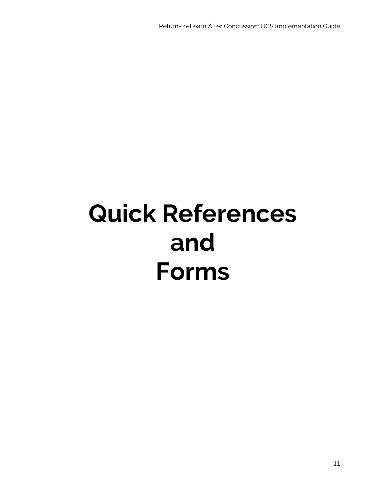# **Quick References and Forms**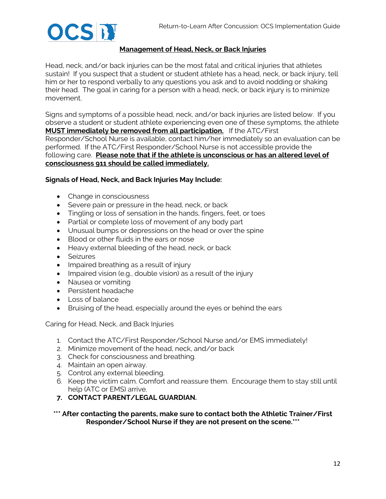

### **Management of Head, Neck, or Back Injuries**

Head, neck, and/or back injuries can be the most fatal and critical injuries that athletes sustain! If you suspect that a student or student athlete has a head, neck, or back injury, tell him or her to respond verbally to any questions you ask and to avoid nodding or shaking their head. The goal in caring for a person with a head, neck, or back injury is to minimize movement.

Signs and symptoms of a possible head, neck, and/or back injuries are listed below. If you observe a student or student athlete experiencing even one of these symptoms, the athlete **MUST immediately be removed from all participation.** If the ATC/First Responder/School Nurse is available, contact him/her immediately so an evaluation can be performed. If the ATC/First Responder/School Nurse is not accessible provide the following care. **Please note that if the athlete is unconscious or has an altered level of consciousness 911 should be called immediately.**

### **Signals of Head, Neck, and Back Injuries May Include:**

- Change in consciousness
- Severe pain or pressure in the head, neck, or back
- Tingling or loss of sensation in the hands, fingers, feet, or toes
- Partial or complete loss of movement of any body part
- Unusual bumps or depressions on the head or over the spine
- Blood or other fluids in the ears or nose
- Heavy external bleeding of the head, neck, or back
- Seizures
- Impaired breathing as a result of injury
- Impaired vision (e.g., double vision) as a result of the injury
- Nausea or vomiting
- Persistent headache
- Loss of balance
- Bruising of the head, especially around the eyes or behind the ears

Caring for Head, Neck, and Back Injuries

- 1. Contact the ATC/First Responder/School Nurse and/or EMS immediately!
- 2. Minimize movement of the head, neck, and/or back
- 3. Check for consciousness and breathing.
- 4. Maintain an open airway.
- 5. Control any external bleeding.
- 6. Keep the victim calm. Comfort and reassure them. Encourage them to stay still until help (ATC or EMS) arrive.
- **7. CONTACT PARENT/LEGAL GUARDIAN.**

**\*\*\* After contacting the parents, make sure to contact both the Athletic Trainer/First Responder/School Nurse if they are not present on the scene.\*\*\***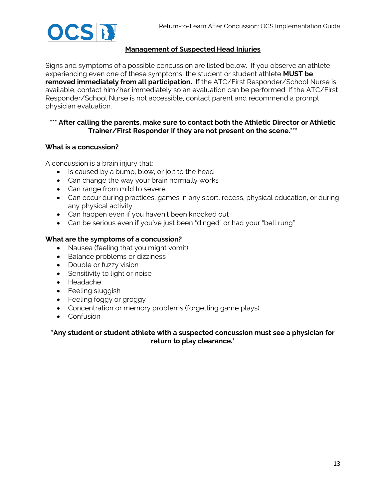

### **Management of Suspected Head Injuries**

Signs and symptoms of a possible concussion are listed below. If you observe an athlete experiencing even one of these symptoms, the student or student athlete **MUST be removed immediately from all participation.** If the ATC/First Responder/School Nurse is available, contact him/her immediately so an evaluation can be performed. If the ATC/First Responder/School Nurse is not accessible, contact parent and recommend a prompt physician evaluation.

### **\*\*\* After calling the parents, make sure to contact both the Athletic Director or Athletic Trainer/First Responder if they are not present on the scene.\*\*\***

### **What is a concussion?**

A concussion is a brain injury that:

- Is caused by a bump, blow, or jolt to the head
- Can change the way your brain normally works
- Can range from mild to severe
- Can occur during practices, games in any sport, recess, physical education, or during any physical activity
- Can happen even if you haven't been knocked out
- Can be serious even if you've just been "dinged" or had your "bell rung"

### **What are the symptoms of a concussion?**

- Nausea (feeling that you might vomit)
- Balance problems or dizziness
- Double or fuzzy vision
- Sensitivity to light or noise
- Headache
- Feeling sluggish
- Feeling foggy or groggy
- Concentration or memory problems (forgetting game plays)
- Confusion

### **\*Any student or student athlete with a suspected concussion must see a physician for return to play clearance.\***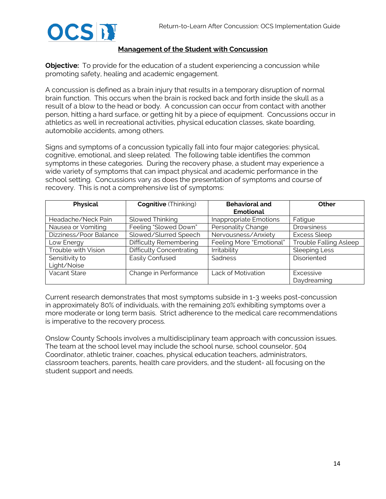

### **Management of the Student with Concussion**

**Objective:** To provide for the education of a student experiencing a concussion while promoting safety, healing and academic engagement.

A concussion is defined as a brain injury that results in a temporary disruption of normal brain function. This occurs when the brain is rocked back and forth inside the skull as a result of a blow to the head or body. A concussion can occur from contact with another person, hitting a hard surface, or getting hit by a piece of equipment. Concussions occur in athletics as well in recreational activities, physical education classes, skate boarding, automobile accidents, among others.

Signs and symptoms of a concussion typically fall into four major categories: physical, cognitive, emotional, and sleep related. The following table identifies the common symptoms in these categories. During the recovery phase, a student may experience a wide variety of symptoms that can impact physical and academic performance in the school setting. Concussions vary as does the presentation of symptoms and course of recovery. This is not a comprehensive list of symptoms:

| <b>Physical</b>        | <b>Cognitive (Thinking)</b>     | <b>Behavioral and</b>                    | Other                         |
|------------------------|---------------------------------|------------------------------------------|-------------------------------|
|                        |                                 | <b>Emotional</b>                         |                               |
| Headache/Neck Pain     | Slowed Thinking                 | <b>Inappropriate Emotions</b><br>Fatigue |                               |
| Nausea or Vomiting     | Feeling "Slowed Down"           | Personality Change                       | Drowsiness                    |
| Dizziness/Poor Balance | Slowed/Slurred Speech           | Nervousness/Anxiety                      | <b>Excess Sleep</b>           |
| Low Energy             | Difficulty Remembering          | Feeling More "Emotional"                 | <b>Trouble Falling Asleep</b> |
| Trouble with Vision    | <b>Difficulty Concentrating</b> | Irritability                             | <b>Sleeping Less</b>          |
| Sensitivity to         | Easily Confused                 | Sadness                                  | <b>Disoriented</b>            |
| Light/Noise            |                                 |                                          |                               |
| Vacant Stare           | Change in Performance           | Lack of Motivation                       | Excessive                     |
|                        |                                 |                                          | Daydreaming                   |

Current research demonstrates that most symptoms subside in 1-3 weeks post-concussion in approximately 80% of individuals, with the remaining 20% exhibiting symptoms over a more moderate or long term basis. Strict adherence to the medical care recommendations is imperative to the recovery process.

Onslow County Schools involves a multidisciplinary team approach with concussion issues. The team at the school level may include the school nurse, school counselor, 504 Coordinator, athletic trainer, coaches, physical education teachers, administrators, classroom teachers, parents, health care providers, and the student- all focusing on the student support and needs.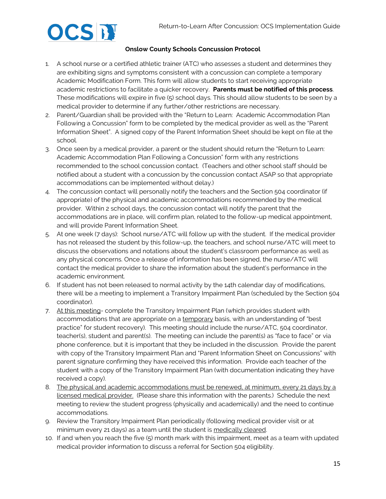## **OCST**

### **Onslow County Schools Concussion Protocol**

- 1. A school nurse or a certified athletic trainer (ATC) who assesses a student and determines they are exhibiting signs and symptoms consistent with a concussion can complete a temporary Academic Modification Form. This form will allow students to start receiving appropriate academic restrictions to facilitate a quicker recovery. **Parents must be notified of this process**. These modifications will expire in five (5) school days. This should allow students to be seen by a medical provider to determine if any further/other restrictions are necessary.
- 2. Parent/Guardian shall be provided with the "Return to Learn: Academic Accommodation Plan Following a Concussion" form to be completed by the medical provider as well as the "Parent Information Sheet". A signed copy of the Parent Information Sheet should be kept on file at the school.
- 3. Once seen by a medical provider, a parent or the student should return the "Return to Learn: Academic Accommodation Plan Following a Concussion" form with any restrictions recommended to the school concussion contact. (Teachers and other school staff should be notified about a student with a concussion by the concussion contact ASAP so that appropriate accommodations can be implemented without delay.)
- 4. The concussion contact will personally notify the teachers and the Section 504 coordinator (if appropriate) of the physical and academic accommodations recommended by the medical provider. Within 2 school days, the concussion contact will notify the parent that the accommodations are in place, will confirm plan, related to the follow-up medical appointment, and will provide Parent Information Sheet.
- 5. At one week (7 days): School nurse/ATC will follow up with the student. If the medical provider has not released the student by this follow-up, the teachers, and school nurse/ATC will meet to discuss the observations and notations about the student's classroom performance as well as any physical concerns. Once a release of information has been signed, the nurse/ATC will contact the medical provider to share the information about the student's performance in the academic environment.
- 6. If student has not been released to normal activity by the 14th calendar day of modifications, there will be a meeting to implement a Transitory Impairment Plan (scheduled by the Section 504 coordinator).
- 7. At this meeting- complete the Transitory Impairment Plan (which provides student with accommodations that are appropriate on a temporary basis, with an understanding of "best practice" for student recovery). This meeting should include the nurse/ATC, 504 coordinator, teacher(s), student and parent(s). The meeting can include the parent(s) as "face to face" or via phone conference, but it is important that they be included in the discussion. Provide the parent with copy of the Transitory Impairment Plan and "Parent Information Sheet on Concussions" with parent signature confirming they have received this information. Provide each teacher of the student with a copy of the Transitory Impairment Plan (with documentation indicating they have received a copy).
- 8. The physical and academic accommodations must be renewed, at minimum, every 21 days by a licensed medical provider. (Please share this information with the parents.) Schedule the next meeting to review the student progress (physically and academically) and the need to continue accommodations.
- 9. Review the Transitory Impairment Plan periodically (following medical provider visit or at minimum every 21 days) as a team until the student is medically cleared.
- 10. If and when you reach the five (5) month mark with this impairment, meet as a team with updated medical provider information to discuss a referral for Section 504 eligibility.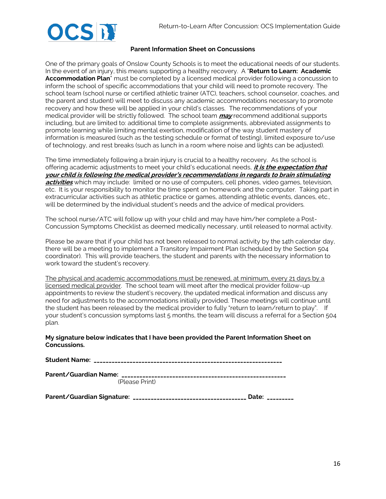

### **Parent Information Sheet on Concussions**

One of the primary goals of Onslow County Schools is to meet the educational needs of our students. In the event of an injury, this means supporting a healthy recovery. A "**Return to Learn: Academic Accommodation Plan**" must be completed by a licensed medical provider following a concussion to inform the school of specific accommodations that your child will need to promote recovery. The school team (school nurse or certified athletic trainer (ATC), teachers, school counselor, coaches, and the parent and student) will meet to discuss any academic accommodations necessary to promote recovery and how these will be applied in your child's classes. The recommendations of your medical provider will be strictly followed. The school team **may** recommend additional supports including, but are limited to: additional time to complete assignments, abbreviated assignments to promote learning while limiting mental exertion, modification of the way student mastery of information is measured (such as the testing schedule or format of testing), limited exposure to/use of technology, and rest breaks (such as lunch in a room where noise and lights can be adjusted).

The time immediately following a brain injury is crucial to a healthy recovery. As the school is offering academic adjustments to meet your child's educational needs, **it is the expectation that your child is following the medical provider's recommendations in regards to brain stimulating activities** which may include: limited or no use of computers, cell phones, video games, television, etc. It is your responsibility to monitor the time spent on homework and the computer. Taking part in extracurricular activities such as athletic practice or games, attending athletic events, dances, etc., will be determined by the individual student's needs and the advice of medical providers.

The school nurse/ATC will follow up with your child and may have him/her complete a Post-Concussion Symptoms Checklist as deemed medically necessary, until released to normal activity.

Please be aware that if your child has not been released to normal activity by the 14th calendar day, there will be a meeting to implement a Transitory Impairment Plan (scheduled by the Section 504 coordinator). This will provide teachers, the student and parents with the necessary information to work toward the student's recovery.

The physical and academic accommodations must be renewed, at minimum, every 21 days by a licensed medical provider. The school team will meet after the medical provider follow-up appointments to review the student's recovery, the updated medical information and discuss any need for adjustments to the accommodations initially provided. These meetings will continue until the student has been released by the medical provider to fully "return to learn/return to play". If your student's concussion symptoms last 5 months, the team will discuss a referral for a Section 504 plan.

### **My signature below indicates that I have been provided the Parent Information Sheet on Concussions.**

| <b>Student Name:</b> |  |
|----------------------|--|
|----------------------|--|

**Parent/Guardian Name: \_\_\_\_\_\_\_\_\_\_\_\_\_\_\_\_\_\_\_\_\_\_\_\_\_\_\_\_\_\_\_\_\_\_\_\_\_\_\_\_\_\_\_\_\_\_\_\_\_\_\_\_\_\_\_**

(Please Print)

**Parent/Guardian Signature: \_\_\_\_\_\_\_\_\_\_\_\_\_\_\_\_\_\_\_\_\_\_\_\_\_\_\_\_\_\_\_\_\_\_\_\_\_\_ Date: \_\_\_\_\_\_\_\_\_**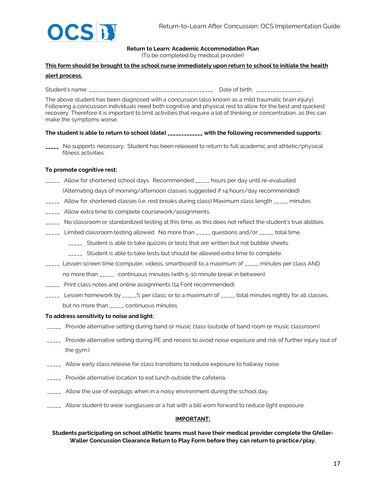

**Return to Learn: Academic Accommodation Plan**  (To be completed by medical provider)

### **This form should be brought to the school nurse immediately upon return to school to initiate the health**

#### **alert process.**

Student's name: \_\_\_\_\_\_\_\_\_\_\_\_\_\_\_\_\_\_\_\_\_\_\_\_\_\_\_\_\_\_\_\_\_\_\_\_\_\_\_\_\_\_\_ Date of birth: \_\_\_\_\_\_\_\_\_\_\_\_\_\_\_\_

The above student has been diagnosed with a concussion (also known as a mild traumatic brain injury). Following a concussion individuals need both cognitive and physical rest to allow for the best and quickest recovery. Therefore it is important to limit activities that require a lot of thinking or concentration, as this can make the symptoms worse.

### **The student is able to return to school (date) \_\_\_\_\_\_\_\_\_\_\_\_\_ with the following recommended supports:**

**\_\_\_\_\_** No supports necessary. Student has been released to return to full academic and athletic/physical fitness activities.

### **To promote cognitive rest:**

- \_\_\_\_\_ Allow for shortened school days. Recommended \_\_\_\_\_ hours per day until re-evaluated. (Alternating days of morning/afternoon classes suggested if ≤4 hours/day recommended)
- \_\_\_\_\_ Allow for shortened classes (i.e. rest breaks during class) Maximum class length \_\_\_\_\_ minutes.
- \_\_\_\_\_ Allow extra time to complete coursework/assignments.
- \_\_\_\_\_ No classroom or standardized testing at this time, as this does not reflect the student's true abilities.
- \_\_\_\_\_ Limited classroom testing allowed. No more than \_\_\_\_\_ questions and/or \_\_\_\_\_ total time.
	- \_\_\_\_\_ Student is able to take quizzes or tests that are written but not bubble sheets.
	- \_\_\_\_\_ Student is able to take tests but should be allowed extra time to complete.
- \_\_\_\_\_ Lessen screen time (computer, videos, smartboard) to a maximum of \_\_\_\_\_ minutes per class AND no more than \_\_\_\_\_ continuous minutes (with 5-10 minute break in between).
- \_\_\_\_\_ Print class notes and online assignments (14 Font recommended)
- \_\_\_\_\_\_ Lessen homework by \_\_\_\_\_% per class; or to a maximum of \_\_\_\_\_ total minutes nightly for all classes, but no more than \_\_\_\_\_ continuous minutes.

### **To address sensitivity to noise and light:**

- \_\_\_\_\_ Provide alternative setting during band or music class (outside of band room or music classroom)
- \_\_\_\_\_ Provide alternative setting during PE and recess to avoid noise exposure and risk of further injury (out of the gym.)
- \_\_\_\_\_ Allow early class release for class transitions to reduce exposure to hallway noise.
- \_\_\_\_\_ Provide alternative location to eat lunch outside the cafeteria.
- \_\_\_\_\_ Allow the use of earplugs when in a noisy environment during the school day.
- \_\_\_\_\_ Allow student to wear sunglasses or a hat with a bill worn forward to reduce light exposure.

### **IMPORTANT:**

**Students participating on school athletic teams must have their medical provider complete the Gfeller-Waller Concussion Clearance Return to Play Form before they can return to practice/play.**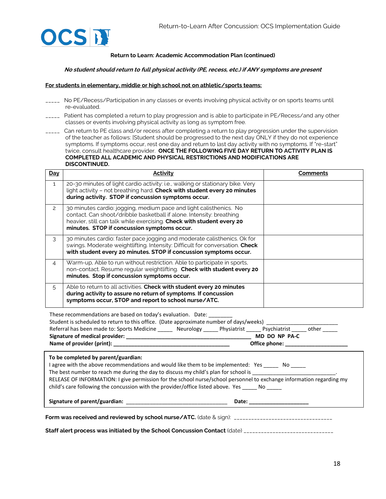

### **Return to Learn: Academic Accommodation Plan (continued)**

### **No student should return to full physical activity (PE, recess, etc.) if ANY symptoms are present**

### **For students in elementary, middle or high school not on athletic/sports teams:**

- \_\_\_\_\_ No PE/Recess/Participation in any classes or events involving physical activity or on sports teams until re-evaluated.
- \_\_\_\_\_ Patient has completed a return to play progression and is able to participate in PE/Recess/and any other classes or events involving physical activity as long as symptom free.
- \_\_\_\_\_ Can return to PE class and/or recess after completing a return to play progression under the supervision of the teacher as follows: [Student should be progressed to the next day ONLY if they do not experience symptoms. If symptoms occur, rest one day and return to last day activity with no symptoms. If "re-start" twice, consult healthcare provider. **ONCE THE FOLLOWING FIVE DAY RETURN TO ACTIVITY PLAN IS COMPLETED ALL ACADEMIC AND PHYSICAL RESTRICTIONS AND MODIFICATIONS ARE DISCONTINUED.**

| Day            | Activity                                                                                                                                                                                                                                                           | <b>Comments</b> |
|----------------|--------------------------------------------------------------------------------------------------------------------------------------------------------------------------------------------------------------------------------------------------------------------|-----------------|
| $\mathbf{1}$   | 20-30 minutes of light cardio activity: i.e., walking or stationary bike. Very<br>light activity - not breathing hard. Check with student every 20 minutes<br>during activity. STOP if concussion symptoms occur.                                                  |                 |
| $\overline{2}$ | 30 minutes cardio: jogging, medium pace and light calisthenics. No<br>contact. Can shoot/dribble basketball if alone. Intensity: breathing<br>heavier, still can talk while exercising. Check with student every 20<br>minutes. STOP if concussion symptoms occur. |                 |
| 3              | 30 minutes cardio: faster pace jogging and moderate calisthenics. Ok for<br>swings. Moderate weightlifting. Intensity: Difficult for conversation. Check<br>with student every 20 minutes. STOP if concussion symptoms occur.                                      |                 |
| 4              | Warm-up, Able to run without restriction. Able to participate in sports,<br>non-contact. Resume regular weightlifting. Check with student every 20<br>minutes. Stop if concussion symptoms occur.                                                                  |                 |
| 5              | Able to return to all activities. Check with student every 20 minutes<br>during activity to assure no return of symptoms. If concussion<br>symptoms occur, STOP and report to school nurse/ATC.                                                                    |                 |

These recommendations are based on today's evaluation. Date: \_\_\_\_\_\_

| Student is scheduled to return to this office. (Date approximate number of days/weeks) |  |                                    |  |       |
|----------------------------------------------------------------------------------------|--|------------------------------------|--|-------|
| Referral has been made to: Sports Medicine                                             |  | Neurology Physiatrist Psychiatrist |  | other |
| Signature of medical provider:                                                         |  | MD DO NP PA-C                      |  |       |
| Name of provider (print):                                                              |  | Office phone:                      |  |       |
|                                                                                        |  |                                    |  |       |

| To be completed by parent/guardian:                                                                                                                                                                         |       |  |  |
|-------------------------------------------------------------------------------------------------------------------------------------------------------------------------------------------------------------|-------|--|--|
| I agree with the above recommendations and would like them to be implemented: Yes<br>The best number to reach me during the day to discuss my child's plan for school is                                    | No l  |  |  |
| RELEASE OF INFORMATION: I give permission for the school nurse/school personnel to exchange information regarding my<br>child's care following the concussion with the provider/office listed above. Yes No |       |  |  |
| Signature of parent/guardian:                                                                                                                                                                               | Date: |  |  |

**Form was received and reviewed by school nurse/ATC.** (date & sign): \_\_\_\_\_\_\_\_\_\_\_\_\_\_\_\_\_\_\_\_\_\_\_\_\_\_\_\_\_\_\_\_\_\_

**Staff alert process was initiated by the School Concussion Contact** (date) \_\_\_\_\_\_\_\_\_\_\_\_\_\_\_\_\_\_\_\_\_\_\_\_\_\_\_\_\_\_\_